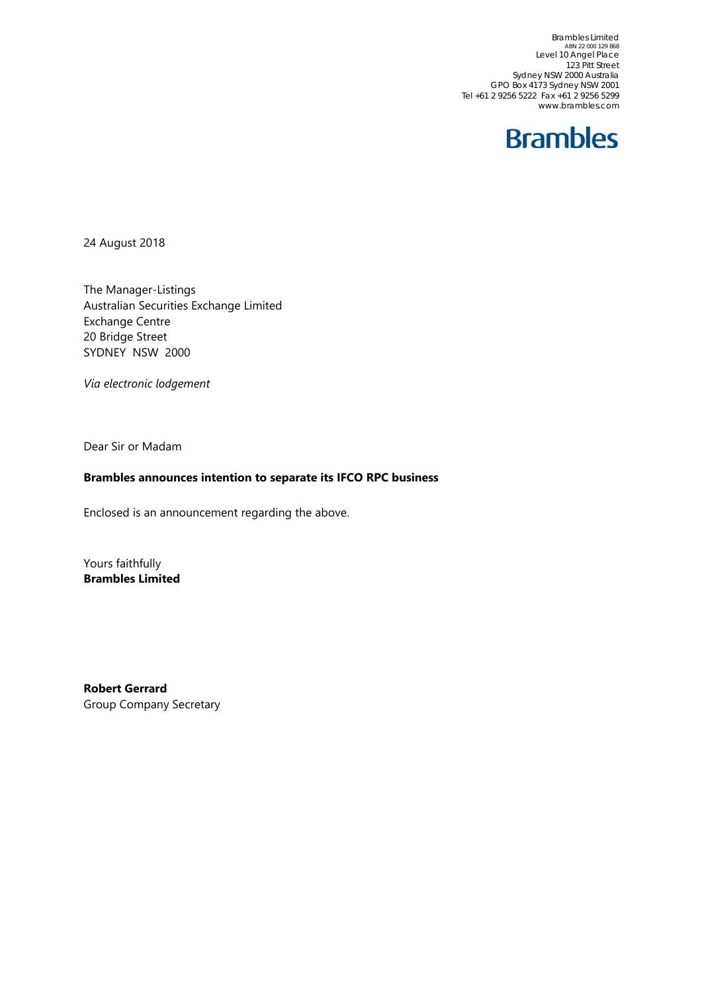Brambles Limited ABN 22 000 129 868 Level 10 Angel Place 123 Pitt Street Sydney NSW 2000 Australia GPO Box 4173 Sydney NSW 2001 Tel +61 2 9256 5222 Fax +61 2 9256 5299 www.brambles.com



24 August 2018

The Manager-Listings Australian Securities Exchange Limited Exchange Centre 20 Bridge Street SYDNEY NSW 2000

*Via electronic lodgement* 

Dear Sir or Madam

#### **Brambles announces intention to separate its IFCO RPC business**

Enclosed is an announcement regarding the above.

Yours faithfully **Brambles Limited** 

**Robert Gerrard**  Group Company Secretary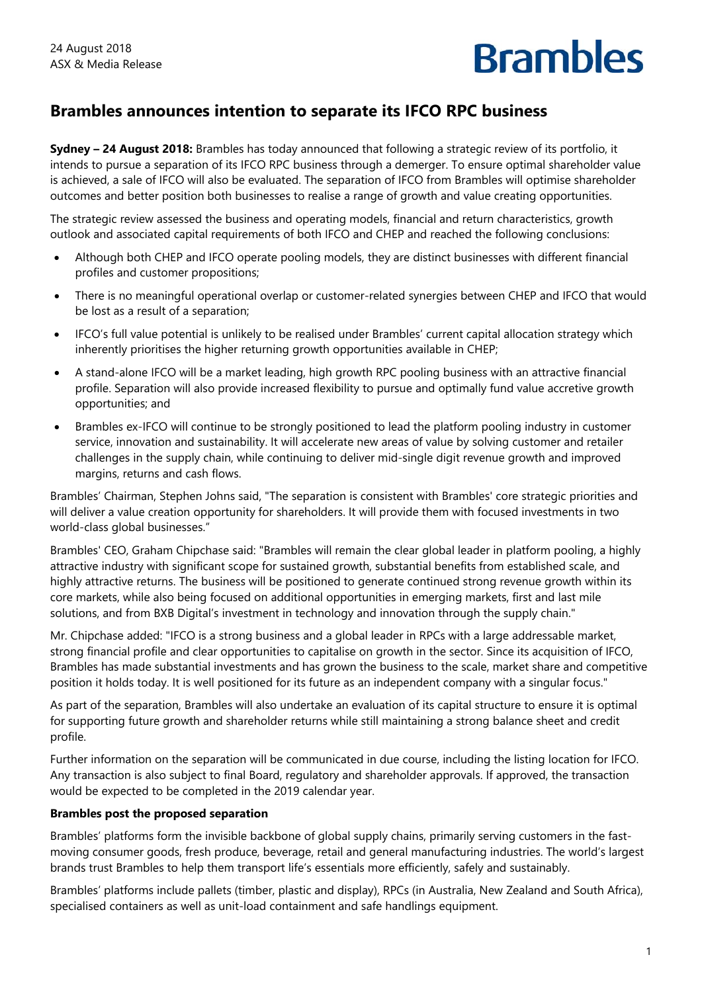# **Brambles**

### **Brambles announces intention to separate its IFCO RPC business**

**Sydney – 24 August 2018:** Brambles has today announced that following a strategic review of its portfolio, it intends to pursue a separation of its IFCO RPC business through a demerger. To ensure optimal shareholder value is achieved, a sale of IFCO will also be evaluated. The separation of IFCO from Brambles will optimise shareholder outcomes and better position both businesses to realise a range of growth and value creating opportunities.

The strategic review assessed the business and operating models, financial and return characteristics, growth outlook and associated capital requirements of both IFCO and CHEP and reached the following conclusions:

- Although both CHEP and IFCO operate pooling models, they are distinct businesses with different financial profiles and customer propositions;
- There is no meaningful operational overlap or customer-related synergies between CHEP and IFCO that would be lost as a result of a separation;
- IFCO's full value potential is unlikely to be realised under Brambles' current capital allocation strategy which inherently prioritises the higher returning growth opportunities available in CHEP;
- A stand-alone IFCO will be a market leading, high growth RPC pooling business with an attractive financial profile. Separation will also provide increased flexibility to pursue and optimally fund value accretive growth opportunities; and
- Brambles ex-IFCO will continue to be strongly positioned to lead the platform pooling industry in customer service, innovation and sustainability. It will accelerate new areas of value by solving customer and retailer challenges in the supply chain, while continuing to deliver mid-single digit revenue growth and improved margins, returns and cash flows.

Brambles' Chairman, Stephen Johns said, "The separation is consistent with Brambles' core strategic priorities and will deliver a value creation opportunity for shareholders. It will provide them with focused investments in two world-class global businesses."

Brambles' CEO, Graham Chipchase said: "Brambles will remain the clear global leader in platform pooling, a highly attractive industry with significant scope for sustained growth, substantial benefits from established scale, and highly attractive returns. The business will be positioned to generate continued strong revenue growth within its core markets, while also being focused on additional opportunities in emerging markets, first and last mile solutions, and from BXB Digital's investment in technology and innovation through the supply chain."

Mr. Chipchase added: "IFCO is a strong business and a global leader in RPCs with a large addressable market, strong financial profile and clear opportunities to capitalise on growth in the sector. Since its acquisition of IFCO, Brambles has made substantial investments and has grown the business to the scale, market share and competitive position it holds today. It is well positioned for its future as an independent company with a singular focus."

As part of the separation, Brambles will also undertake an evaluation of its capital structure to ensure it is optimal for supporting future growth and shareholder returns while still maintaining a strong balance sheet and credit profile.

Further information on the separation will be communicated in due course, including the listing location for IFCO. Any transaction is also subject to final Board, regulatory and shareholder approvals. If approved, the transaction would be expected to be completed in the 2019 calendar year.

### **Brambles post the proposed separation**

Brambles' platforms form the invisible backbone of global supply chains, primarily serving customers in the fastmoving consumer goods, fresh produce, beverage, retail and general manufacturing industries. The world's largest brands trust Brambles to help them transport life's essentials more efficiently, safely and sustainably.

Brambles' platforms include pallets (timber, plastic and display), RPCs (in Australia, New Zealand and South Africa), specialised containers as well as unit-load containment and safe handlings equipment.